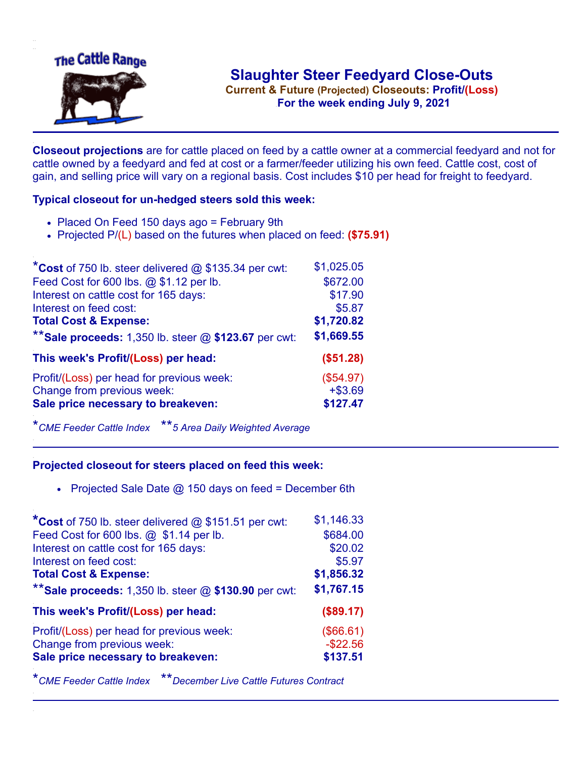

**Current & Future (Projected) Closeouts: Profit/(Loss)** .**For the week ending July 9, 2021**

**Closeout projections** are for cattle placed on feed by a cattle owner at a commercial feedyard and not for cattle owned by a feedyard and fed at cost or a farmer/feeder utilizing his own feed. Cattle cost, cost of gain, and selling price will vary on a regional basis. Cost includes \$10 per head for freight to feedyard.

## **Typical closeout for un-hedged steers sold this week:**

- Placed On Feed 150 days ago = February 9th
- Projected P/(L) based on the futures when placed on feed: **(\$75.91)**

| *Cost of 750 lb. steer delivered $@$ \$135.34 per cwt:  | \$1,025.05 |
|---------------------------------------------------------|------------|
| Feed Cost for 600 lbs. @ \$1.12 per lb.                 | \$672.00   |
| Interest on cattle cost for 165 days:                   | \$17.90    |
| Interest on feed cost:                                  | \$5.87     |
| <b>Total Cost &amp; Expense:</b>                        | \$1,720.82 |
| ** Sale proceeds: 1,350 lb. steer $@$ \$123.67 per cwt: | \$1,669.55 |
| This week's Profit/(Loss) per head:                     | (\$51.28)  |
| Profit/(Loss) per head for previous week:               | (\$54.97)  |
| Change from previous week:                              | $+ $3.69$  |
| Sale price necessary to breakeven:                      | \$127.47   |

\**CME Feeder Cattle Index* \*\**5 Area Daily Weighted Average*

## **Projected closeout for steers placed on feed this week:**

• Projected Sale Date  $@$  150 days on feed = December 6th

| *Cost of 750 lb. steer delivered @ \$151.51 per cwt:    | \$1,146.33  |
|---------------------------------------------------------|-------------|
| Feed Cost for 600 lbs. @ \$1.14 per lb.                 | \$684.00    |
| Interest on cattle cost for 165 days:                   | \$20.02     |
| Interest on feed cost:                                  | \$5.97      |
| <b>Total Cost &amp; Expense:</b>                        | \$1,856.32  |
| ** Sale proceeds: 1,350 lb. steer $@$ \$130.90 per cwt: | \$1,767.15  |
| This week's Profit/(Loss) per head:                     | (\$89.17)   |
|                                                         |             |
| Profit/(Loss) per head for previous week:               | (\$66.61)   |
| Change from previous week:                              | $-$ \$22.56 |
| Sale price necessary to breakeven:                      | \$137.51    |

\**CME Feeder Cattle Index* \*\**December Live Cattle Futures Contract*